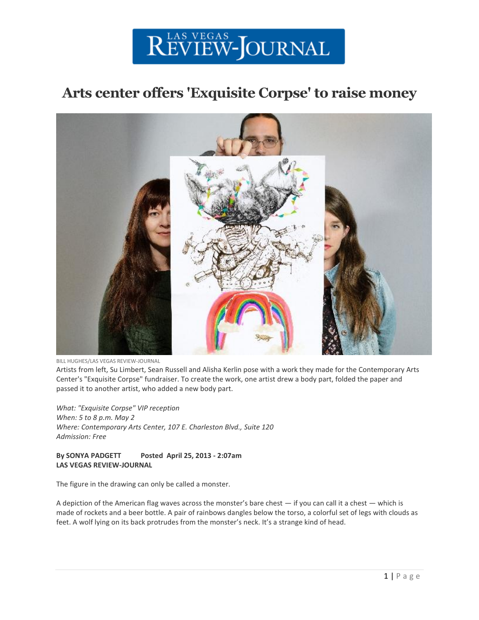## REVIEW-JOURNAL

## **Arts center offers 'Exquisite Corpse' to raise money**



BILL HUGHES/LAS VEGAS REVIEW-JOURNAL

Artists from left, Su Limbert, Sean Russell and Alisha Kerlin pose with a work they made for the Contemporary Arts Center's "Exquisite Corpse" fundraiser. To create the work, one artist drew a body part, folded the paper and passed it to another artist, who added a new body part.

*What: "Exquisite Corpse" VIP reception When: 5 to 8 p.m. May 2 Where: Contemporary Arts Center, 107 E. Charleston Blvd., Suite 120 Admission: Free*

**By SONYA PADGETT Posted April 25, 2013 - 2:07am LAS VEGAS REVIEW-JOURNAL**

The figure in the drawing can only be called a monster.

A depiction of the American flag waves across the monster's bare chest — if you can call it a chest — which is made of rockets and a beer bottle. A pair of rainbows dangles below the torso, a colorful set of legs with clouds as feet. A wolf lying on its back protrudes from the monster's neck. It's a strange kind of head.